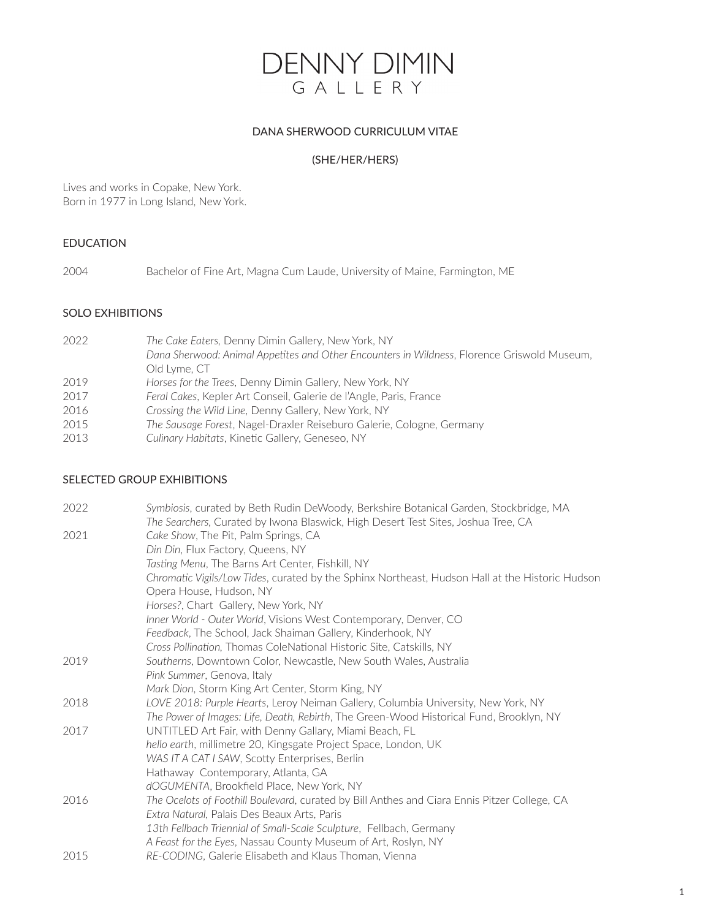

### DANA SHERWOOD CURRICULUM VITAE

### (SHE/HER/HERS)

Lives and works in Copake, New York. Born in 1977 in Long Island, New York.

## EDUCATION

2004 Bachelor of Fine Art, Magna Cum Laude, University of Maine, Farmington, ME

### SOLO EXHIBITIONS

| 2022 | The Cake Eaters, Denny Dimin Gallery, New York, NY                                          |
|------|---------------------------------------------------------------------------------------------|
|      | Dana Sherwood: Animal Appetites and Other Encounters in Wildness, Florence Griswold Museum, |
|      | Old Lyme, CT                                                                                |
| 2019 | Horses for the Trees, Denny Dimin Gallery, New York, NY                                     |
| 2017 | Feral Cakes, Kepler Art Conseil, Galerie de l'Angle, Paris, France                          |
| 2016 | Crossing the Wild Line, Denny Gallery, New York, NY                                         |
| 2015 | The Sausage Forest, Nagel-Draxler Reiseburo Galerie, Cologne, Germany                       |
| 2013 | Culinary Habitats, Kinetic Gallery, Geneseo, NY                                             |
|      |                                                                                             |

# SELECTED GROUP EXHIBITIONS

| 2022 | Symbiosis, curated by Beth Rudin DeWoody, Berkshire Botanical Garden, Stockbridge, MA           |
|------|-------------------------------------------------------------------------------------------------|
|      | The Searchers, Curated by Iwona Blaswick, High Desert Test Sites, Joshua Tree, CA               |
| 2021 | Cake Show, The Pit, Palm Springs, CA                                                            |
|      | Din Din, Flux Factory, Queens, NY                                                               |
|      | Tasting Menu, The Barns Art Center, Fishkill, NY                                                |
|      | Chromatic Vigils/Low Tides, curated by the Sphinx Northeast, Hudson Hall at the Historic Hudson |
|      | Opera House, Hudson, NY                                                                         |
|      | Horses?, Chart Gallery, New York, NY                                                            |
|      | Inner World - Outer World, Visions West Contemporary, Denver, CO                                |
|      | Feedback, The School, Jack Shaiman Gallery, Kinderhook, NY                                      |
|      | Cross Pollination, Thomas ColeNational Historic Site, Catskills, NY                             |
| 2019 | Southerns, Downtown Color, Newcastle, New South Wales, Australia                                |
|      | Pink Summer, Genova, Italy                                                                      |
|      | Mark Dion, Storm King Art Center, Storm King, NY                                                |
| 2018 | LOVE 2018: Purple Hearts, Leroy Neiman Gallery, Columbia University, New York, NY               |
|      | The Power of Images: Life, Death, Rebirth, The Green-Wood Historical Fund, Brooklyn, NY         |
| 2017 | UNTITLED Art Fair, with Denny Gallary, Miami Beach, FL                                          |
|      | hello earth, millimetre 20, Kingsgate Project Space, London, UK                                 |
|      | WAS IT A CAT I SAW, Scotty Enterprises, Berlin                                                  |
|      | Hathaway Contemporary, Atlanta, GA                                                              |
|      | dOGUMENTA, Brookfield Place, New York, NY                                                       |
| 2016 | The Ocelots of Foothill Boulevard, curated by Bill Anthes and Ciara Ennis Pitzer College, CA    |
|      | Extra Natural, Palais Des Beaux Arts, Paris                                                     |
|      | 13th Fellbach Triennial of Small-Scale Sculpture, Fellbach, Germany                             |
|      | A Feast for the Eyes, Nassau County Museum of Art, Roslyn, NY                                   |
| 2015 | RE-CODING, Galerie Elisabeth and Klaus Thoman, Vienna                                           |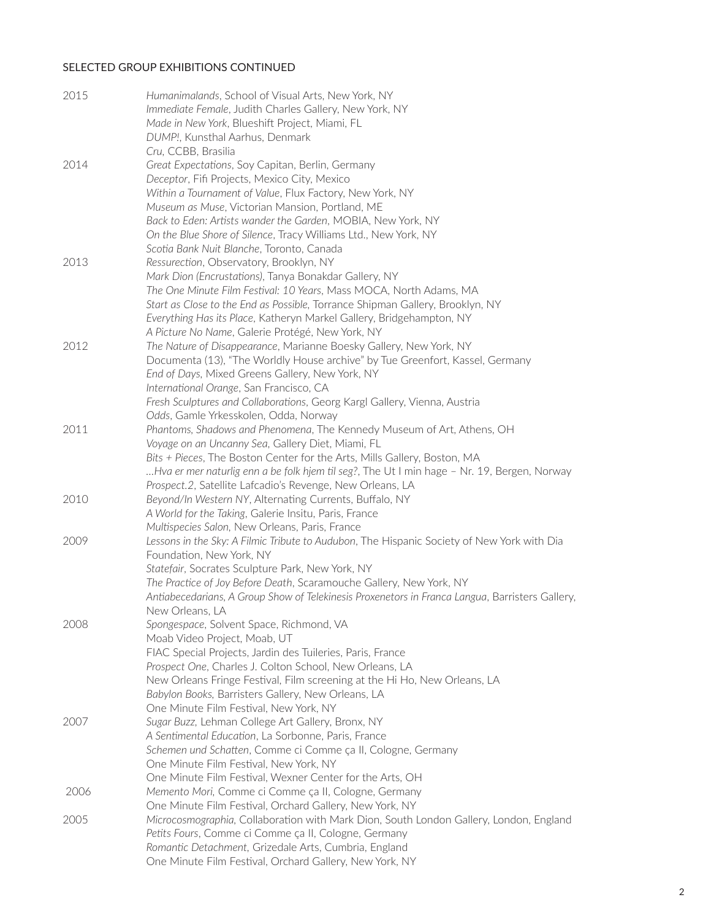# SELECTED GROUP EXHIBITIONS CONTINUED

| 2015 | Humanimalands, School of Visual Arts, New York, NY<br>Immediate Female, Judith Charles Gallery, New York, NY<br>Made in New York, Blueshift Project, Miami, FL<br>DUMP!, Kunsthal Aarhus, Denmark                                                                                                                                                                                   |
|------|-------------------------------------------------------------------------------------------------------------------------------------------------------------------------------------------------------------------------------------------------------------------------------------------------------------------------------------------------------------------------------------|
|      | Cru, CCBB, Brasilia                                                                                                                                                                                                                                                                                                                                                                 |
| 2014 | Great Expectations, Soy Capitan, Berlin, Germany<br>Deceptor, Fifi Projects, Mexico City, Mexico<br>Within a Tournament of Value, Flux Factory, New York, NY<br>Museum as Muse, Victorian Mansion, Portland, ME<br>Back to Eden: Artists wander the Garden, MOBIA, New York, NY<br>On the Blue Shore of Silence, Tracy Williams Ltd., New York, NY                                  |
|      | Scotia Bank Nuit Blanche, Toronto, Canada                                                                                                                                                                                                                                                                                                                                           |
| 2013 | Ressurection, Observatory, Brooklyn, NY<br>Mark Dion (Encrustations), Tanya Bonakdar Gallery, NY<br>The One Minute Film Festival: 10 Years, Mass MOCA, North Adams, MA<br>Start as Close to the End as Possible, Torrance Shipman Gallery, Brooklyn, NY<br>Everything Has its Place, Katheryn Markel Gallery, Bridgehampton, NY<br>A Picture No Name, Galerie Protégé, New York, NY |
| 2012 | The Nature of Disappearance, Marianne Boesky Gallery, New York, NY<br>Documenta (13), "The Worldly House archive" by Tue Greenfort, Kassel, Germany<br>End of Days, Mixed Greens Gallery, New York, NY<br>International Orange, San Francisco, CA<br>Fresh Sculptures and Collaborations, Georg Kargl Gallery, Vienna, Austria<br>Odds, Gamle Yrkesskolen, Odda, Norway             |
| 2011 | Phantoms, Shadows and Phenomena, The Kennedy Museum of Art, Athens, OH                                                                                                                                                                                                                                                                                                              |
|      | Voyage on an Uncanny Sea, Gallery Diet, Miami, FL<br>Bits + Pieces, The Boston Center for the Arts, Mills Gallery, Boston, MA<br>Hva er mer naturlig enn a be folk hjem til seg?, The Ut I min hage - Nr. 19, Bergen, Norway<br>Prospect.2, Satellite Lafcadio's Revenge, New Orleans, LA                                                                                           |
| 2010 | Beyond/In Western NY, Alternating Currents, Buffalo, NY<br>A World for the Taking, Galerie Insitu, Paris, France<br>Multispecies Salon, New Orleans, Paris, France                                                                                                                                                                                                                  |
| 2009 | Lessons in the Sky: A Filmic Tribute to Audubon, The Hispanic Society of New York with Dia<br>Foundation, New York, NY<br>Statefair, Socrates Sculpture Park, New York, NY<br>The Practice of Joy Before Death, Scaramouche Gallery, New York, NY<br>Antiabecedarians, A Group Show of Telekinesis Proxenetors in Franca Langua, Barristers Gallery,<br>New Orleans, LA             |
| 2008 | Spongespace, Solvent Space, Richmond, VA<br>Moab Video Project, Moab, UT<br>FIAC Special Projects, Jardin des Tuileries, Paris, France<br>Prospect One, Charles J. Colton School, New Orleans, LA<br>New Orleans Fringe Festival, Film screening at the Hi Ho, New Orleans, LA<br>Babylon Books, Barristers Gallery, New Orleans, LA                                                |
| 2007 | One Minute Film Festival, New York, NY<br>Sugar Buzz, Lehman College Art Gallery, Bronx, NY<br>A Sentimental Education, La Sorbonne, Paris, France<br>Schemen und Schatten, Comme ci Comme ça II, Cologne, Germany<br>One Minute Film Festival, New York, NY<br>One Minute Film Festival, Wexner Center for the Arts, OH                                                            |
| 2006 | Memento Mori, Comme ci Comme ça II, Cologne, Germany                                                                                                                                                                                                                                                                                                                                |
| 2005 | One Minute Film Festival, Orchard Gallery, New York, NY<br>Microcosmographia, Collaboration with Mark Dion, South London Gallery, London, England<br>Petits Fours, Comme ci Comme ça II, Cologne, Germany<br>Romantic Detachment, Grizedale Arts, Cumbria, England<br>One Minute Film Festival, Orchard Gallery, New York, NY                                                       |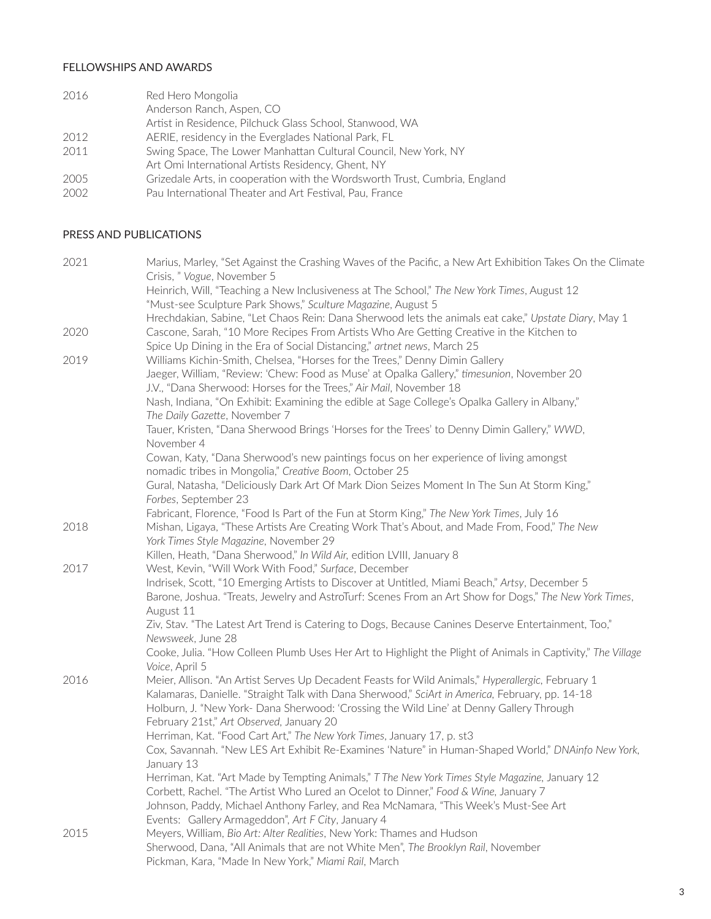### FELLOWSHIPS AND AWARDS

| 2016 | Red Hero Mongolia                                                          |
|------|----------------------------------------------------------------------------|
|      | Anderson Ranch, Aspen, CO                                                  |
|      | Artist in Residence, Pilchuck Glass School, Stanwood, WA                   |
| 2012 | AERIE, residency in the Everglades National Park, FL                       |
| 2011 | Swing Space, The Lower Manhattan Cultural Council, New York, NY            |
|      | Art Omi International Artists Residency, Ghent, NY                         |
| 2005 | Grizedale Arts, in cooperation with the Wordsworth Trust, Cumbria, England |
| 2002 | Pau International Theater and Art Festival, Pau, France                    |

### PRESS AND PUBLICATIONS

| 2021 | Marius, Marley, "Set Against the Crashing Waves of the Pacific, a New Art Exhibition Takes On the Climate                                       |
|------|-------------------------------------------------------------------------------------------------------------------------------------------------|
|      | Crisis, "Vogue, November 5<br>Heinrich, Will, "Teaching a New Inclusiveness at The School," The New York Times, August 12                       |
|      | "Must-see Sculpture Park Shows," Sculture Magazine, August 5                                                                                    |
|      | Hrechdakian, Sabine, "Let Chaos Rein: Dana Sherwood lets the animals eat cake," Upstate Diary, May 1                                            |
| 2020 | Cascone, Sarah, "10 More Recipes From Artists Who Are Getting Creative in the Kitchen to                                                        |
|      | Spice Up Dining in the Era of Social Distancing," artnet news, March 25                                                                         |
| 2019 | Williams Kichin-Smith, Chelsea, "Horses for the Trees," Denny Dimin Gallery                                                                     |
|      | Jaeger, William, "Review: 'Chew: Food as Muse' at Opalka Gallery," timesunion, November 20                                                      |
|      | J.V., "Dana Sherwood: Horses for the Trees," Air Mail, November 18                                                                              |
|      | Nash, Indiana, "On Exhibit: Examining the edible at Sage College's Opalka Gallery in Albany,"                                                   |
|      | The Daily Gazette, November 7                                                                                                                   |
|      | Tauer, Kristen, "Dana Sherwood Brings 'Horses for the Trees' to Denny Dimin Gallery," WWD,<br>November 4                                        |
|      | Cowan, Katy, "Dana Sherwood's new paintings focus on her experience of living amongst<br>nomadic tribes in Mongolia," Creative Boom, October 25 |
|      | Gural, Natasha, "Deliciously Dark Art Of Mark Dion Seizes Moment In The Sun At Storm King,"<br>Forbes, September 23                             |
|      | Fabricant, Florence, "Food Is Part of the Fun at Storm King," The New York Times, July 16                                                       |
| 2018 | Mishan, Ligaya, "These Artists Are Creating Work That's About, and Made From, Food," The New                                                    |
|      | York Times Style Magazine, November 29                                                                                                          |
|      | Killen, Heath, "Dana Sherwood," In Wild Air, edition LVIII, January 8                                                                           |
| 2017 | West, Kevin, "Will Work With Food," Surface, December                                                                                           |
|      | Indrisek, Scott, "10 Emerging Artists to Discover at Untitled, Miami Beach," Artsy, December 5                                                  |
|      | Barone, Joshua. "Treats, Jewelry and AstroTurf: Scenes From an Art Show for Dogs," The New York Times,<br>August 11                             |
|      | Ziv, Stav. "The Latest Art Trend is Catering to Dogs, Because Canines Deserve Entertainment, Too,"<br>Newsweek, June 28                         |
|      | Cooke, Julia. "How Colleen Plumb Uses Her Art to Highlight the Plight of Animals in Captivity," The Village<br>Voice, April 5                   |
| 2016 | Meier, Allison. "An Artist Serves Up Decadent Feasts for Wild Animals," Hyperallergic, February 1                                               |
|      | Kalamaras, Danielle. "Straight Talk with Dana Sherwood," SciArt in America, February, pp. 14-18                                                 |
|      | Holburn, J. "New York- Dana Sherwood: 'Crossing the Wild Line' at Denny Gallery Through                                                         |
|      | February 21st," Art Observed, January 20                                                                                                        |
|      | Herriman, Kat. "Food Cart Art," The New York Times, January 17, p. st3                                                                          |
|      | Cox, Savannah. "New LES Art Exhibit Re-Examines 'Nature" in Human-Shaped World," DNAinfo New York,<br>January 13                                |
|      | Herriman, Kat. "Art Made by Tempting Animals," T The New York Times Style Magazine, January 12                                                  |
|      | Corbett, Rachel. "The Artist Who Lured an Ocelot to Dinner," Food & Wine, January 7                                                             |
|      | Johnson, Paddy, Michael Anthony Farley, and Rea McNamara, "This Week's Must-See Art                                                             |
|      | Events: Gallery Armageddon", Art F City, January 4                                                                                              |
| 2015 | Meyers, William, Bio Art: Alter Realities, New York: Thames and Hudson                                                                          |
|      | Sherwood, Dana, "All Animals that are not White Men", The Brooklyn Rail, November                                                               |
|      | Pickman, Kara, "Made In New York," Miami Rail, March                                                                                            |